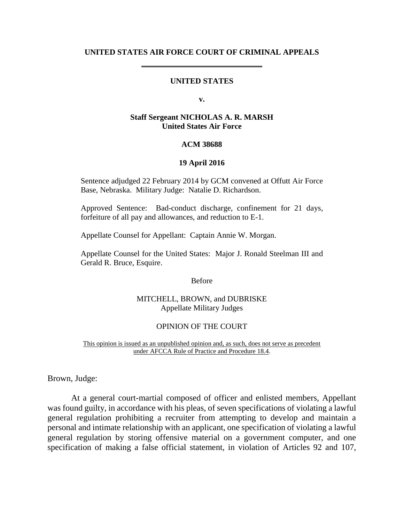#### **UNITED STATES AIR FORCE COURT OF CRIMINAL APPEALS**

# **UNITED STATES**

**v.**

#### **Staff Sergeant NICHOLAS A. R. MARSH United States Air Force**

#### **ACM 38688**

#### **19 April 2016**

Sentence adjudged 22 February 2014 by GCM convened at Offutt Air Force Base, Nebraska. Military Judge: Natalie D. Richardson.

Approved Sentence: Bad-conduct discharge, confinement for 21 days, forfeiture of all pay and allowances, and reduction to E-1.

Appellate Counsel for Appellant: Captain Annie W. Morgan.

Appellate Counsel for the United States: Major J. Ronald Steelman III and Gerald R. Bruce, Esquire.

Before

### MITCHELL, BROWN, and DUBRISKE Appellate Military Judges

#### OPINION OF THE COURT

This opinion is issued as an unpublished opinion and, as such, does not serve as precedent under AFCCA Rule of Practice and Procedure 18.4.

Brown, Judge:

At a general court-martial composed of officer and enlisted members, Appellant was found guilty, in accordance with his pleas, of seven specifications of violating a lawful general regulation prohibiting a recruiter from attempting to develop and maintain a personal and intimate relationship with an applicant, one specification of violating a lawful general regulation by storing offensive material on a government computer, and one specification of making a false official statement, in violation of Articles 92 and 107,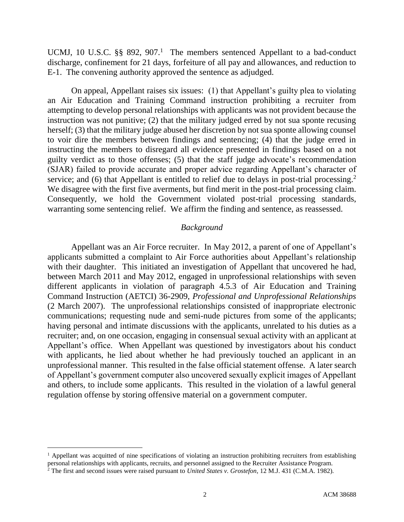UCMJ, 10 U.S.C.  $\S$ § 892, 907.<sup>1</sup> The members sentenced Appellant to a bad-conduct discharge, confinement for 21 days, forfeiture of all pay and allowances, and reduction to E-1. The convening authority approved the sentence as adjudged.

On appeal, Appellant raises six issues: (1) that Appellant's guilty plea to violating an Air Education and Training Command instruction prohibiting a recruiter from attempting to develop personal relationships with applicants was not provident because the instruction was not punitive; (2) that the military judged erred by not sua sponte recusing herself; (3) that the military judge abused her discretion by not sua sponte allowing counsel to voir dire the members between findings and sentencing; (4) that the judge erred in instructing the members to disregard all evidence presented in findings based on a not guilty verdict as to those offenses; (5) that the staff judge advocate's recommendation (SJAR) failed to provide accurate and proper advice regarding Appellant's character of service; and (6) that Appellant is entitled to relief due to delays in post-trial processing.<sup>2</sup> We disagree with the first five averments, but find merit in the post-trial processing claim. Consequently, we hold the Government violated post-trial processing standards, warranting some sentencing relief. We affirm the finding and sentence, as reassessed.

#### *Background*

Appellant was an Air Force recruiter. In May 2012, a parent of one of Appellant's applicants submitted a complaint to Air Force authorities about Appellant's relationship with their daughter. This initiated an investigation of Appellant that uncovered he had, between March 2011 and May 2012, engaged in unprofessional relationships with seven different applicants in violation of paragraph 4.5.3 of Air Education and Training Command Instruction (AETCI) 36-2909, *Professional and Unprofessional Relationships* (2 March 2007). The unprofessional relationships consisted of inappropriate electronic communications; requesting nude and semi-nude pictures from some of the applicants; having personal and intimate discussions with the applicants, unrelated to his duties as a recruiter; and, on one occasion, engaging in consensual sexual activity with an applicant at Appellant's office. When Appellant was questioned by investigators about his conduct with applicants, he lied about whether he had previously touched an applicant in an unprofessional manner. This resulted in the false official statement offense. A later search of Appellant's government computer also uncovered sexually explicit images of Appellant and others, to include some applicants. This resulted in the violation of a lawful general regulation offense by storing offensive material on a government computer.

 $<sup>1</sup>$  Appellant was acquitted of nine specifications of violating an instruction prohibiting recruiters from establishing</sup> personal relationships with applicants, recruits, and personnel assigned to the Recruiter Assistance Program.

<sup>2</sup> The first and second issues were raised pursuant to *United States v. Grostefon*, 12 M.J. 431 (C.M.A. 1982).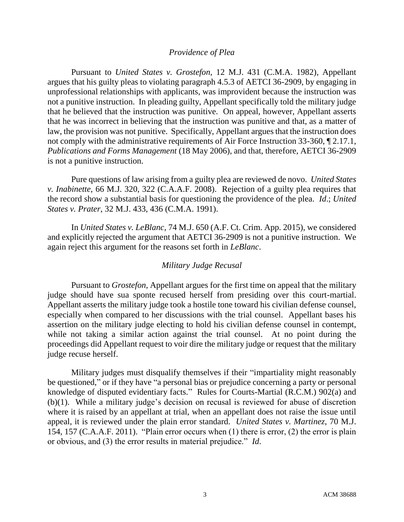## *Providence of Plea*

Pursuant to *United States v. Grostefon*, 12 M.J. 431 (C.M.A. 1982), Appellant argues that his guilty pleas to violating paragraph 4.5.3 of AETCI 36-2909, by engaging in unprofessional relationships with applicants, was improvident because the instruction was not a punitive instruction. In pleading guilty, Appellant specifically told the military judge that he believed that the instruction was punitive. On appeal, however, Appellant asserts that he was incorrect in believing that the instruction was punitive and that, as a matter of law, the provision was not punitive. Specifically, Appellant argues that the instruction does not comply with the administrative requirements of Air Force Instruction 33-360, ¶ 2.17.1, *Publications and Forms Management* (18 May 2006), and that, therefore, AETCI 36-2909 is not a punitive instruction.

Pure questions of law arising from a guilty plea are reviewed de novo. *United States v. Inabinette*, 66 M.J. 320, 322 (C.A.A.F. 2008). Rejection of a guilty plea requires that the record show a substantial basis for questioning the providence of the plea. *Id*.; *United States v. Prater*, 32 M.J. 433, 436 (C.M.A. 1991).

In *United States v. LeBlanc*, 74 M.J. 650 (A.F. Ct. Crim. App. 2015), we considered and explicitly rejected the argument that AETCI 36-2909 is not a punitive instruction. We again reject this argument for the reasons set forth in *LeBlanc*.

# *Military Judge Recusal*

Pursuant to *Grostefon*, Appellant argues for the first time on appeal that the military judge should have sua sponte recused herself from presiding over this court-martial. Appellant asserts the military judge took a hostile tone toward his civilian defense counsel, especially when compared to her discussions with the trial counsel. Appellant bases his assertion on the military judge electing to hold his civilian defense counsel in contempt, while not taking a similar action against the trial counsel. At no point during the proceedings did Appellant request to voir dire the military judge or request that the military judge recuse herself.

Military judges must disqualify themselves if their "impartiality might reasonably be questioned," or if they have "a personal bias or prejudice concerning a party or personal knowledge of disputed evidentiary facts." Rules for Courts-Martial (R.C.M.) 902(a) and (b)(1). While a military judge's decision on recusal is reviewed for abuse of discretion where it is raised by an appellant at trial, when an appellant does not raise the issue until appeal, it is reviewed under the plain error standard. *United States v. Martinez*, 70 M.J. 154, 157 (C.A.A.F. 2011). "Plain error occurs when (1) there is error, (2) the error is plain or obvious, and (3) the error results in material prejudice." *Id*.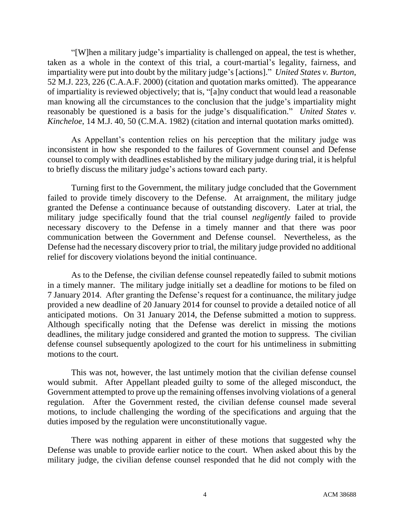"[W]hen a military judge's impartiality is challenged on appeal, the test is whether, taken as a whole in the context of this trial, a court-martial's legality, fairness, and impartiality were put into doubt by the military judge's [actions]." *United States v. Burton*, 52 M.J. 223, 226 (C.A.A.F. 2000) (citation and quotation marks omitted). The appearance of impartiality is reviewed objectively; that is, "[a]ny conduct that would lead a reasonable man knowing all the circumstances to the conclusion that the judge's impartiality might reasonably be questioned is a basis for the judge's disqualification." *United States v. Kincheloe*, 14 M.J. 40, 50 (C.M.A. 1982) (citation and internal quotation marks omitted).

As Appellant's contention relies on his perception that the military judge was inconsistent in how she responded to the failures of Government counsel and Defense counsel to comply with deadlines established by the military judge during trial, it is helpful to briefly discuss the military judge's actions toward each party.

Turning first to the Government, the military judge concluded that the Government failed to provide timely discovery to the Defense. At arraignment, the military judge granted the Defense a continuance because of outstanding discovery. Later at trial, the military judge specifically found that the trial counsel *negligently* failed to provide necessary discovery to the Defense in a timely manner and that there was poor communication between the Government and Defense counsel. Nevertheless, as the Defense had the necessary discovery prior to trial, the military judge provided no additional relief for discovery violations beyond the initial continuance.

As to the Defense, the civilian defense counsel repeatedly failed to submit motions in a timely manner. The military judge initially set a deadline for motions to be filed on 7 January 2014. After granting the Defense's request for a continuance, the military judge provided a new deadline of 20 January 2014 for counsel to provide a detailed notice of all anticipated motions. On 31 January 2014, the Defense submitted a motion to suppress. Although specifically noting that the Defense was derelict in missing the motions deadlines, the military judge considered and granted the motion to suppress. The civilian defense counsel subsequently apologized to the court for his untimeliness in submitting motions to the court.

This was not, however, the last untimely motion that the civilian defense counsel would submit. After Appellant pleaded guilty to some of the alleged misconduct, the Government attempted to prove up the remaining offenses involving violations of a general regulation. After the Government rested, the civilian defense counsel made several motions, to include challenging the wording of the specifications and arguing that the duties imposed by the regulation were unconstitutionally vague.

There was nothing apparent in either of these motions that suggested why the Defense was unable to provide earlier notice to the court. When asked about this by the military judge, the civilian defense counsel responded that he did not comply with the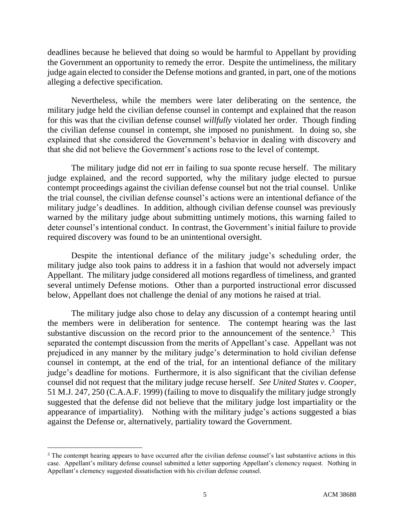deadlines because he believed that doing so would be harmful to Appellant by providing the Government an opportunity to remedy the error. Despite the untimeliness, the military judge again elected to consider the Defense motions and granted, in part, one of the motions alleging a defective specification.

Nevertheless, while the members were later deliberating on the sentence, the military judge held the civilian defense counsel in contempt and explained that the reason for this was that the civilian defense counsel *willfully* violated her order. Though finding the civilian defense counsel in contempt, she imposed no punishment. In doing so, she explained that she considered the Government's behavior in dealing with discovery and that she did not believe the Government's actions rose to the level of contempt.

The military judge did not err in failing to sua sponte recuse herself. The military judge explained, and the record supported, why the military judge elected to pursue contempt proceedings against the civilian defense counsel but not the trial counsel. Unlike the trial counsel, the civilian defense counsel's actions were an intentional defiance of the military judge's deadlines. In addition, although civilian defense counsel was previously warned by the military judge about submitting untimely motions, this warning failed to deter counsel's intentional conduct. In contrast, the Government's initial failure to provide required discovery was found to be an unintentional oversight.

Despite the intentional defiance of the military judge's scheduling order, the military judge also took pains to address it in a fashion that would not adversely impact Appellant. The military judge considered all motions regardless of timeliness, and granted several untimely Defense motions. Other than a purported instructional error discussed below, Appellant does not challenge the denial of any motions he raised at trial.

The military judge also chose to delay any discussion of a contempt hearing until the members were in deliberation for sentence. The contempt hearing was the last substantive discussion on the record prior to the announcement of the sentence.<sup>3</sup> This separated the contempt discussion from the merits of Appellant's case. Appellant was not prejudiced in any manner by the military judge's determination to hold civilian defense counsel in contempt, at the end of the trial, for an intentional defiance of the military judge's deadline for motions. Furthermore, it is also significant that the civilian defense counsel did not request that the military judge recuse herself. *See United States v. Cooper*, 51 M.J. 247, 250 (C.A.A.F. 1999) (failing to move to disqualify the military judge strongly suggested that the defense did not believe that the military judge lost impartiality or the appearance of impartiality). Nothing with the military judge's actions suggested a bias against the Defense or, alternatively, partiality toward the Government.

<sup>&</sup>lt;sup>3</sup> The contempt hearing appears to have occurred after the civilian defense counsel's last substantive actions in this case. Appellant's military defense counsel submitted a letter supporting Appellant's clemency request. Nothing in Appellant's clemency suggested dissatisfaction with his civilian defense counsel.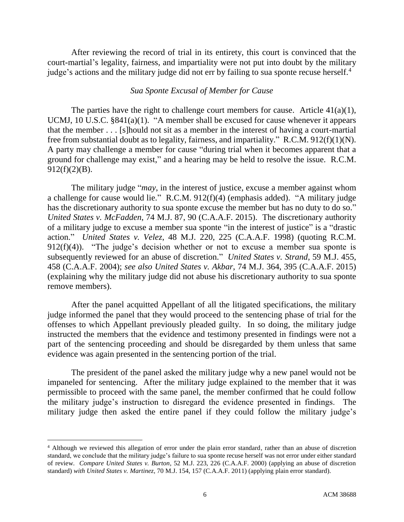After reviewing the record of trial in its entirety, this court is convinced that the court-martial's legality, fairness, and impartiality were not put into doubt by the military judge's actions and the military judge did not err by failing to sua sponte recuse herself.<sup>4</sup>

### *Sua Sponte Excusal of Member for Cause*

The parties have the right to challenge court members for cause. Article  $41(a)(1)$ , UCMJ, 10 U.S.C. §841(a)(1). "A member shall be excused for cause whenever it appears that the member . . . [s]hould not sit as a member in the interest of having a court-martial free from substantial doubt as to legality, fairness, and impartiality." R.C.M. 912(f)(1)(N). A party may challenge a member for cause "during trial when it becomes apparent that a ground for challenge may exist," and a hearing may be held to resolve the issue. R.C.M.  $912(f)(2)(B)$ .

The military judge "*may*, in the interest of justice, excuse a member against whom a challenge for cause would lie." R.C.M. 912(f)(4) (emphasis added). "A military judge has the discretionary authority to sua sponte excuse the member but has no duty to do so." *United States v. McFadden*, 74 M.J. 87, 90 (C.A.A.F. 2015). The discretionary authority of a military judge to excuse a member sua sponte "in the interest of justice" is a "drastic action." *United States v. Velez*, 48 M.J. 220, 225 (C.A.A.F. 1998) (quoting R.C.M. 912(f)(4)). "The judge's decision whether or not to excuse a member sua sponte is subsequently reviewed for an abuse of discretion." *United States v. Strand*, 59 M.J. 455, 458 (C.A.A.F. 2004); *see also United States v. Akbar*, 74 M.J. 364, 395 (C.A.A.F. 2015) (explaining why the military judge did not abuse his discretionary authority to sua sponte remove members).

After the panel acquitted Appellant of all the litigated specifications, the military judge informed the panel that they would proceed to the sentencing phase of trial for the offenses to which Appellant previously pleaded guilty. In so doing, the military judge instructed the members that the evidence and testimony presented in findings were not a part of the sentencing proceeding and should be disregarded by them unless that same evidence was again presented in the sentencing portion of the trial.

The president of the panel asked the military judge why a new panel would not be impaneled for sentencing. After the military judge explained to the member that it was permissible to proceed with the same panel, the member confirmed that he could follow the military judge's instruction to disregard the evidence presented in findings. The military judge then asked the entire panel if they could follow the military judge's

<sup>4</sup> Although we reviewed this allegation of error under the plain error standard, rather than an abuse of discretion standard, we conclude that the military judge's failure to sua sponte recuse herself was not error under either standard of review. *Compare United States v. Burton*, 52 M.J. 223, 226 (C.A.A.F. 2000) (applying an abuse of discretion standard) *with United States v. Martinez*, 70 M.J. 154, 157 (C.A.A.F. 2011) (applying plain error standard).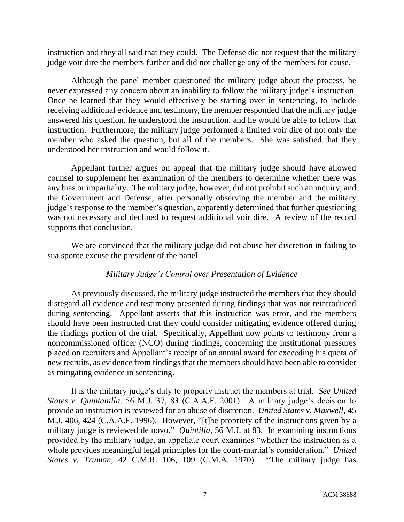instruction and they all said that they could. The Defense did not request that the military judge voir dire the members further and did not challenge any of the members for cause.

Although the panel member questioned the military judge about the process, he never expressed any concern about an inability to follow the military judge's instruction. Once he learned that they would effectively be starting over in sentencing, to include receiving additional evidence and testimony, the member responded that the military judge answered his question, he understood the instruction, and he would be able to follow that instruction. Furthermore, the military judge performed a limited voir dire of not only the member who asked the question, but all of the members. She was satisfied that they understood her instruction and would follow it.

Appellant further argues on appeal that the military judge should have allowed counsel to supplement her examination of the members to determine whether there was any bias or impartiality. The military judge, however, did not prohibit such an inquiry, and the Government and Defense, after personally observing the member and the military judge's response to the member's question, apparently determined that further questioning was not necessary and declined to request additional voir dire. A review of the record supports that conclusion.

We are convinced that the military judge did not abuse her discretion in failing to sua sponte excuse the president of the panel.

# *Military Judge's Control over Presentation of Evidence*

As previously discussed, the military judge instructed the members that they should disregard all evidence and testimony presented during findings that was not reintroduced during sentencing. Appellant asserts that this instruction was error, and the members should have been instructed that they could consider mitigating evidence offered during the findings portion of the trial. Specifically, Appellant now points to testimony from a noncommissioned officer (NCO) during findings, concerning the institutional pressures placed on recruiters and Appellant's receipt of an annual award for exceeding his quota of new recruits, as evidence from findings that the members should have been able to consider as mitigating evidence in sentencing.

It is the military judge's duty to properly instruct the members at trial. *See United States v. Quintanilla*, 56 M.J. 37, 83 (C.A.A.F. 2001). A military judge's decision to provide an instruction is reviewed for an abuse of discretion. *United States v. Maxwell*, 45 M.J. 406, 424 (C.A.A.F. 1996). However, "[t]he propriety of the instructions given by a military judge is reviewed de novo." *Quintilla*, 56 M.J. at 83. In examining instructions provided by the military judge, an appellate court examines "whether the instruction as a whole provides meaningful legal principles for the court-martial's consideration." *United States v. Truman*, 42 C.M.R. 106, 109 (C.M.A. 1970). "The military judge has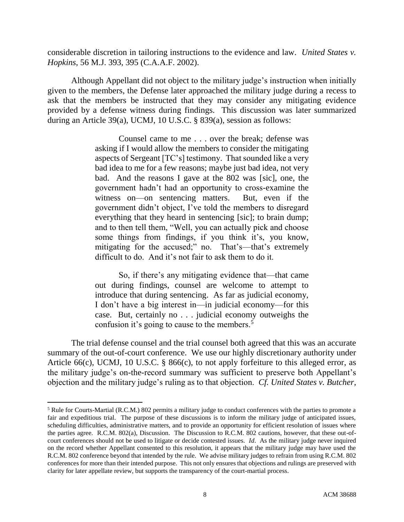considerable discretion in tailoring instructions to the evidence and law. *United States v. Hopkins*, 56 M.J. 393, 395 (C.A.A.F. 2002).

Although Appellant did not object to the military judge's instruction when initially given to the members, the Defense later approached the military judge during a recess to ask that the members be instructed that they may consider any mitigating evidence provided by a defense witness during findings. This discussion was later summarized during an Article 39(a), UCMJ, 10 U.S.C. § 839(a), session as follows:

> Counsel came to me . . . over the break; defense was asking if I would allow the members to consider the mitigating aspects of Sergeant [TC's] testimony. That sounded like a very bad idea to me for a few reasons; maybe just bad idea, not very bad. And the reasons I gave at the 802 was [sic], one, the government hadn't had an opportunity to cross-examine the witness on—on sentencing matters. But, even if the government didn't object, I've told the members to disregard everything that they heard in sentencing [sic]; to brain dump; and to then tell them, "Well, you can actually pick and choose some things from findings, if you think it's, you know, mitigating for the accused;" no. That's—that's extremely difficult to do. And it's not fair to ask them to do it.

> So, if there's any mitigating evidence that—that came out during findings, counsel are welcome to attempt to introduce that during sentencing. As far as judicial economy, I don't have a big interest in—in judicial economy—for this case. But, certainly no . . . judicial economy outweighs the confusion it's going to cause to the members.<sup>5</sup>

The trial defense counsel and the trial counsel both agreed that this was an accurate summary of the out-of-court conference. We use our highly discretionary authority under Article 66(c), UCMJ, 10 U.S.C. § 866(c), to not apply forfeiture to this alleged error, as the military judge's on-the-record summary was sufficient to preserve both Appellant's objection and the military judge's ruling as to that objection. *Cf. United States v. Butcher*,

<sup>5</sup> Rule for Courts-Martial (R.C.M.) 802 permits a military judge to conduct conferences with the parties to promote a fair and expeditious trial. The purpose of these discussions is to inform the military judge of anticipated issues, scheduling difficulties, administrative matters, and to provide an opportunity for efficient resolution of issues where the parties agree. R.C.M. 802(a), Discussion. The Discussion to R.C.M. 802 cautions, however, that these out-ofcourt conferences should not be used to litigate or decide contested issues. *Id*. As the military judge never inquired on the record whether Appellant consented to this resolution, it appears that the military judge may have used the R.C.M. 802 conference beyond that intended by the rule. We advise military judges to refrain from using R.C.M. 802 conferences for more than their intended purpose. This not only ensures that objections and rulings are preserved with clarity for later appellate review, but supports the transparency of the court-martial process.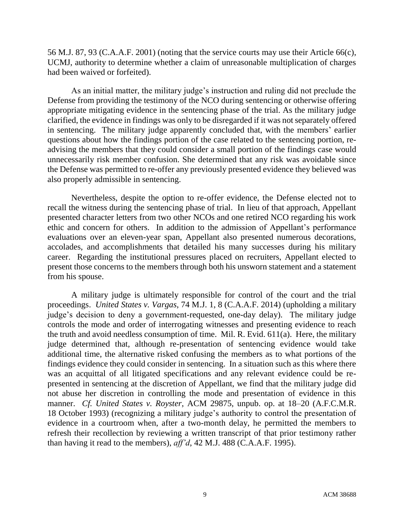56 M.J. 87, 93 (C.A.A.F. 2001) (noting that the service courts may use their Article 66(c), UCMJ, authority to determine whether a claim of unreasonable multiplication of charges had been waived or forfeited).

As an initial matter, the military judge's instruction and ruling did not preclude the Defense from providing the testimony of the NCO during sentencing or otherwise offering appropriate mitigating evidence in the sentencing phase of the trial. As the military judge clarified, the evidence in findings was only to be disregarded if it was not separately offered in sentencing. The military judge apparently concluded that, with the members' earlier questions about how the findings portion of the case related to the sentencing portion, readvising the members that they could consider a small portion of the findings case would unnecessarily risk member confusion. She determined that any risk was avoidable since the Defense was permitted to re-offer any previously presented evidence they believed was also properly admissible in sentencing.

Nevertheless, despite the option to re-offer evidence, the Defense elected not to recall the witness during the sentencing phase of trial. In lieu of that approach, Appellant presented character letters from two other NCOs and one retired NCO regarding his work ethic and concern for others. In addition to the admission of Appellant's performance evaluations over an eleven-year span, Appellant also presented numerous decorations, accolades, and accomplishments that detailed his many successes during his military career. Regarding the institutional pressures placed on recruiters, Appellant elected to present those concerns to the members through both his unsworn statement and a statement from his spouse.

A military judge is ultimately responsible for control of the court and the trial proceedings. *United States v. Vargas*, 74 M.J. 1, 8 (C.A.A.F. 2014) (upholding a military judge's decision to deny a government-requested, one-day delay). The military judge controls the mode and order of interrogating witnesses and presenting evidence to reach the truth and avoid needless consumption of time. Mil. R. Evid.  $611(a)$ . Here, the military judge determined that, although re-presentation of sentencing evidence would take additional time, the alternative risked confusing the members as to what portions of the findings evidence they could consider in sentencing. In a situation such as this where there was an acquittal of all litigated specifications and any relevant evidence could be represented in sentencing at the discretion of Appellant, we find that the military judge did not abuse her discretion in controlling the mode and presentation of evidence in this manner. *Cf. United States v. Royster*, ACM 29875, unpub. op. at 18–20 (A.F.C.M.R. 18 October 1993) (recognizing a military judge's authority to control the presentation of evidence in a courtroom when, after a two-month delay, he permitted the members to refresh their recollection by reviewing a written transcript of that prior testimony rather than having it read to the members), *aff'd*, 42 M.J. 488 (C.A.A.F. 1995).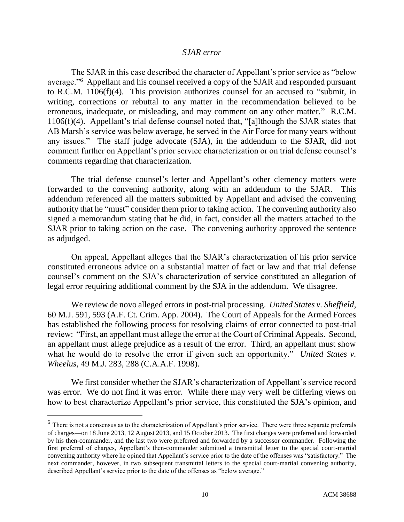#### *SJAR error*

The SJAR in this case described the character of Appellant's prior service as "below average."<sup>6</sup> Appellant and his counsel received a copy of the SJAR and responded pursuant to R.C.M. 1106(f)(4). This provision authorizes counsel for an accused to "submit, in writing, corrections or rebuttal to any matter in the recommendation believed to be erroneous, inadequate, or misleading, and may comment on any other matter." R.C.M. 1106(f)(4). Appellant's trial defense counsel noted that, "[a]lthough the SJAR states that AB Marsh's service was below average, he served in the Air Force for many years without any issues." The staff judge advocate (SJA), in the addendum to the SJAR, did not comment further on Appellant's prior service characterization or on trial defense counsel's comments regarding that characterization.

The trial defense counsel's letter and Appellant's other clemency matters were forwarded to the convening authority, along with an addendum to the SJAR. This addendum referenced all the matters submitted by Appellant and advised the convening authority that he "must" consider them prior to taking action. The convening authority also signed a memorandum stating that he did, in fact, consider all the matters attached to the SJAR prior to taking action on the case. The convening authority approved the sentence as adjudged.

On appeal, Appellant alleges that the SJAR's characterization of his prior service constituted erroneous advice on a substantial matter of fact or law and that trial defense counsel's comment on the SJA's characterization of service constituted an allegation of legal error requiring additional comment by the SJA in the addendum. We disagree.

We review de novo alleged errors in post-trial processing. *United States v. Sheffield*, 60 M.J. 591, 593 (A.F. Ct. Crim. App. 2004). The Court of Appeals for the Armed Forces has established the following process for resolving claims of error connected to post-trial review: "First, an appellant must allege the error at the Court of Criminal Appeals. Second, an appellant must allege prejudice as a result of the error. Third, an appellant must show what he would do to resolve the error if given such an opportunity." *United States v. Wheelus*, 49 M.J. 283, 288 (C.A.A.F. 1998).

We first consider whether the SJAR's characterization of Appellant's service record was error. We do not find it was error. While there may very well be differing views on how to best characterize Appellant's prior service, this constituted the SJA's opinion, and

 $<sup>6</sup>$  There is not a consensus as to the characterization of Appellant's prior service. There were three separate preferrals</sup> of charges—on 18 June 2013, 12 August 2013, and 15 October 2013. The first charges were preferred and forwarded by his then-commander, and the last two were preferred and forwarded by a successor commander. Following the first preferral of charges, Appellant's then-commander submitted a transmittal letter to the special court-martial convening authority where he opined that Appellant's service prior to the date of the offenses was "satisfactory." The next commander, however, in two subsequent transmittal letters to the special court-martial convening authority, described Appellant's service prior to the date of the offenses as "below average."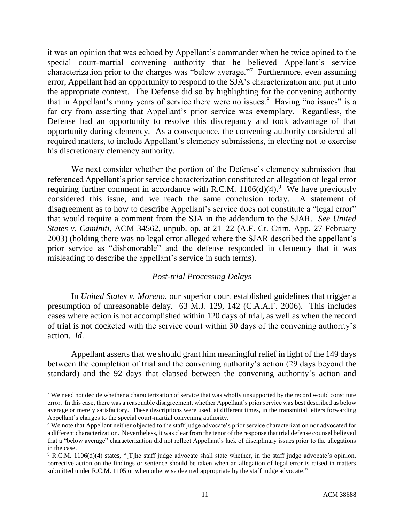it was an opinion that was echoed by Appellant's commander when he twice opined to the special court-martial convening authority that he believed Appellant's service characterization prior to the charges was "below average."<sup>7</sup> Furthermore, even assuming error, Appellant had an opportunity to respond to the SJA's characterization and put it into the appropriate context. The Defense did so by highlighting for the convening authority that in Appellant's many years of service there were no issues.<sup>8</sup> Having "no issues" is a far cry from asserting that Appellant's prior service was exemplary. Regardless, the Defense had an opportunity to resolve this discrepancy and took advantage of that opportunity during clemency. As a consequence, the convening authority considered all required matters, to include Appellant's clemency submissions, in electing not to exercise his discretionary clemency authority.

We next consider whether the portion of the Defense's clemency submission that referenced Appellant's prior service characterization constituted an allegation of legal error requiring further comment in accordance with R.C.M.  $1106(d)(4)$ .<sup>9</sup> We have previously considered this issue, and we reach the same conclusion today. A statement of disagreement as to how to describe Appellant's service does not constitute a "legal error" that would require a comment from the SJA in the addendum to the SJAR. *See United States v. Caminiti*, ACM 34562, unpub. op. at 21–22 (A.F. Ct. Crim. App. 27 February 2003) (holding there was no legal error alleged where the SJAR described the appellant's prior service as "dishonorable" and the defense responded in clemency that it was misleading to describe the appellant's service in such terms).

# *Post-trial Processing Delays*

In *United States v. Moreno*, our superior court established guidelines that trigger a presumption of unreasonable delay. 63 M.J. 129, 142 (C.A.A.F. 2006). This includes cases where action is not accomplished within 120 days of trial, as well as when the record of trial is not docketed with the service court within 30 days of the convening authority's action. *Id*.

Appellant asserts that we should grant him meaningful relief in light of the 149 days between the completion of trial and the convening authority's action (29 days beyond the standard) and the 92 days that elapsed between the convening authority's action and

<sup>&</sup>lt;sup>7</sup> We need not decide whether a characterization of service that was wholly unsupported by the record would constitute error. In this case, there was a reasonable disagreement, whether Appellant's prior service was best described as below average or merely satisfactory. These descriptions were used, at different times, in the transmittal letters forwarding Appellant's charges to the special court-martial convening authority.

<sup>&</sup>lt;sup>8</sup> We note that Appellant neither objected to the staff judge advocate's prior service characterization nor advocated for a different characterization. Nevertheless, it was clear from the tenor of the response that trial defense counsel believed that a "below average" characterization did not reflect Appellant's lack of disciplinary issues prior to the allegations in the case.

<sup>9</sup> R.C.M. 1106(d)(4) states, "[T]he staff judge advocate shall state whether, in the staff judge advocate's opinion, corrective action on the findings or sentence should be taken when an allegation of legal error is raised in matters submitted under R.C.M. 1105 or when otherwise deemed appropriate by the staff judge advocate."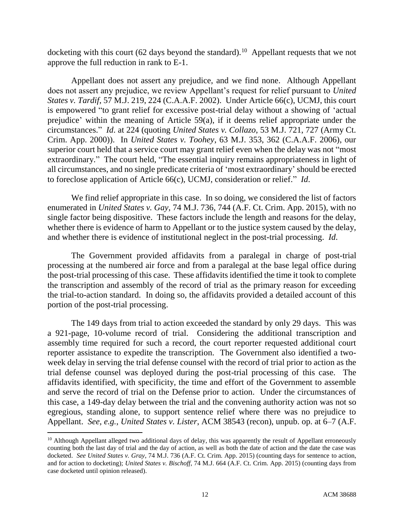docketing with this court (62 days beyond the standard).<sup>10</sup> Appellant requests that we not approve the full reduction in rank to E-1.

Appellant does not assert any prejudice, and we find none. Although Appellant does not assert any prejudice, we review Appellant's request for relief pursuant to *United States v. Tardif*, 57 M.J. 219, 224 (C.A.A.F. 2002). Under Article 66(c), UCMJ, this court is empowered "to grant relief for excessive post-trial delay without a showing of 'actual prejudice' within the meaning of Article 59(a), if it deems relief appropriate under the circumstances." *Id*. at 224 (quoting *United States v. Collazo*, 53 M.J. 721, 727 (Army Ct. Crim. App. 2000)). In *United States v. Toohey*, 63 M.J. 353, 362 (C.A.A.F. 2006), our superior court held that a service court may grant relief even when the delay was not "most extraordinary." The court held, "The essential inquiry remains appropriateness in light of all circumstances, and no single predicate criteria of 'most extraordinary' should be erected to foreclose application of Article 66(c), UCMJ, consideration or relief." *Id*.

We find relief appropriate in this case. In so doing, we considered the list of factors enumerated in *United States v. Gay*, 74 M.J. 736, 744 (A.F. Ct. Crim. App. 2015), with no single factor being dispositive. These factors include the length and reasons for the delay, whether there is evidence of harm to Appellant or to the justice system caused by the delay, and whether there is evidence of institutional neglect in the post-trial processing. *Id*.

The Government provided affidavits from a paralegal in charge of post-trial processing at the numbered air force and from a paralegal at the base legal office during the post-trial processing of this case. These affidavits identified the time it took to complete the transcription and assembly of the record of trial as the primary reason for exceeding the trial-to-action standard. In doing so, the affidavits provided a detailed account of this portion of the post-trial processing.

The 149 days from trial to action exceeded the standard by only 29 days. This was a 921-page, 10-volume record of trial. Considering the additional transcription and assembly time required for such a record, the court reporter requested additional court reporter assistance to expedite the transcription. The Government also identified a twoweek delay in serving the trial defense counsel with the record of trial prior to action as the trial defense counsel was deployed during the post-trial processing of this case. The affidavits identified, with specificity, the time and effort of the Government to assemble and serve the record of trial on the Defense prior to action. Under the circumstances of this case, a 149-day delay between the trial and the convening authority action was not so egregious, standing alone, to support sentence relief where there was no prejudice to Appellant. *See, e.g.*, *United States v. Lister*, ACM 38543 (recon), unpub. op. at 6–7 (A.F.

 $10$  Although Appellant alleged two additional days of delay, this was apparently the result of Appellant erroneously counting both the last day of trial and the day of action, as well as both the date of action and the date the case was docketed. *See United States v. Gray*, 74 M.J. 736 (A.F. Ct. Crim. App. 2015) (counting days for sentence to action, and for action to docketing); *United States v. Bischoff*, 74 M.J. 664 (A.F. Ct. Crim. App. 2015) (counting days from case docketed until opinion released).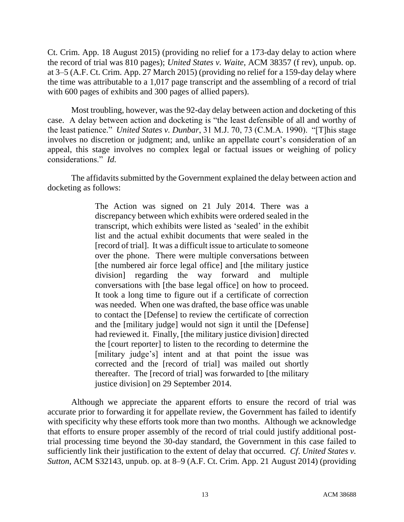Ct. Crim. App. 18 August 2015) (providing no relief for a 173-day delay to action where the record of trial was 810 pages); *United States v. Waite*, ACM 38357 (f rev), unpub. op. at 3–5 (A.F. Ct. Crim. App. 27 March 2015) (providing no relief for a 159-day delay where the time was attributable to a 1,017 page transcript and the assembling of a record of trial with 600 pages of exhibits and 300 pages of allied papers).

Most troubling, however, was the 92-day delay between action and docketing of this case. A delay between action and docketing is "the least defensible of all and worthy of the least patience." *United States v. Dunbar*, 31 M.J. 70, 73 (C.M.A. 1990). "[T]his stage involves no discretion or judgment; and, unlike an appellate court's consideration of an appeal, this stage involves no complex legal or factual issues or weighing of policy considerations." *Id.*

The affidavits submitted by the Government explained the delay between action and docketing as follows:

> The Action was signed on 21 July 2014. There was a discrepancy between which exhibits were ordered sealed in the transcript, which exhibits were listed as 'sealed' in the exhibit list and the actual exhibit documents that were sealed in the [record of trial]. It was a difficult issue to articulate to someone over the phone. There were multiple conversations between [the numbered air force legal office] and [the military justice division] regarding the way forward and multiple conversations with [the base legal office] on how to proceed. It took a long time to figure out if a certificate of correction was needed. When one was drafted, the base office was unable to contact the [Defense] to review the certificate of correction and the [military judge] would not sign it until the [Defense] had reviewed it. Finally, [the military justice division] directed the [court reporter] to listen to the recording to determine the [military judge's] intent and at that point the issue was corrected and the [record of trial] was mailed out shortly thereafter. The [record of trial] was forwarded to [the military justice division] on 29 September 2014.

Although we appreciate the apparent efforts to ensure the record of trial was accurate prior to forwarding it for appellate review, the Government has failed to identify with specificity why these efforts took more than two months. Although we acknowledge that efforts to ensure proper assembly of the record of trial could justify additional posttrial processing time beyond the 30-day standard, the Government in this case failed to sufficiently link their justification to the extent of delay that occurred. *Cf*. *United States v. Sutton*, ACM S32143, unpub. op. at 8–9 (A.F. Ct. Crim. App. 21 August 2014) (providing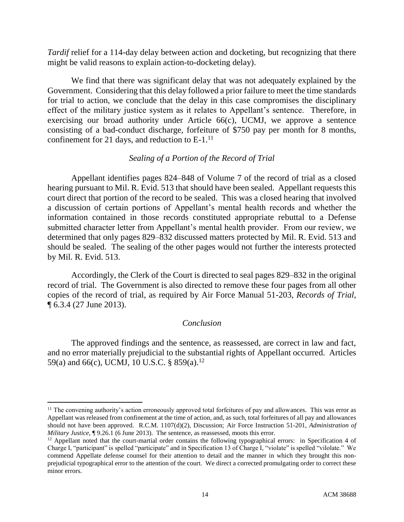*Tardif* relief for a 114-day delay between action and docketing, but recognizing that there might be valid reasons to explain action-to-docketing delay).

We find that there was significant delay that was not adequately explained by the Government. Considering that this delay followed a prior failure to meet the time standards for trial to action, we conclude that the delay in this case compromises the disciplinary effect of the military justice system as it relates to Appellant's sentence. Therefore, in exercising our broad authority under Article 66(c), UCMJ, we approve a sentence consisting of a bad-conduct discharge, forfeiture of \$750 pay per month for 8 months, confinement for 21 days, and reduction to E-1.<sup>11</sup>

### *Sealing of a Portion of the Record of Trial*

Appellant identifies pages 824–848 of Volume 7 of the record of trial as a closed hearing pursuant to Mil. R. Evid. 513 that should have been sealed. Appellant requests this court direct that portion of the record to be sealed. This was a closed hearing that involved a discussion of certain portions of Appellant's mental health records and whether the information contained in those records constituted appropriate rebuttal to a Defense submitted character letter from Appellant's mental health provider. From our review, we determined that only pages 829–832 discussed matters protected by Mil. R. Evid. 513 and should be sealed. The sealing of the other pages would not further the interests protected by Mil. R. Evid. 513.

Accordingly, the Clerk of the Court is directed to seal pages 829–832 in the original record of trial. The Government is also directed to remove these four pages from all other copies of the record of trial, as required by Air Force Manual 51-203, *Records of Trial*, ¶ 6.3.4 (27 June 2013).

# *Conclusion*

The approved findings and the sentence, as reassessed, are correct in law and fact, and no error materially prejudicial to the substantial rights of Appellant occurred. Articles 59(a) and 66(c), UCMJ, 10 U.S.C. § 859(a).<sup>12</sup>

<sup>&</sup>lt;sup>11</sup> The convening authority's action erroneously approved total forfeitures of pay and allowances. This was error as Appellant was released from confinement at the time of action, and, as such, total forfeitures of all pay and allowances should not have been approved. R.C.M. 1107(d)(2), Discussion; Air Force Instruction 51-201, *Administration of Military Justice*,  $\sqrt{9.26.1}$  (6 June 2013). The sentence, as reassessed, moots this error.

 $12$  Appellant noted that the court-martial order contains the following typographical errors: in Specification 4 of Charge I, "participant" is spelled "participate" and in Specification 13 of Charge I, "violate" is spelled "vilolate." We commend Appellate defense counsel for their attention to detail and the manner in which they brought this nonprejudicial typographical error to the attention of the court. We direct a corrected promulgating order to correct these minor errors.